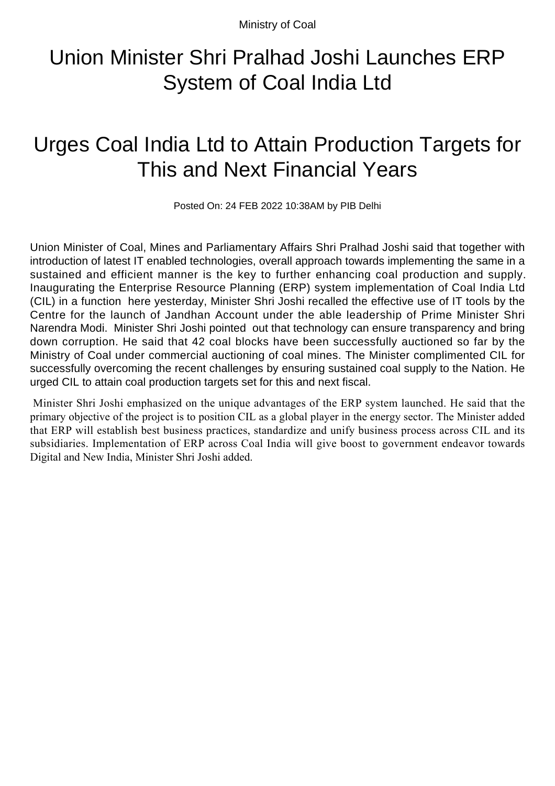Ministry of Coal

## Union Minister Shri Pralhad Joshi Launches ERP System of Coal India Ltd

## Urges Coal India Ltd to Attain Production Targets for This and Next Financial Years

Posted On: 24 FEB 2022 10:38AM by PIB Delhi

Union Minister of Coal, Mines and Parliamentary Affairs Shri Pralhad Joshi said that together with introduction of latest IT enabled technologies, overall approach towards implementing the same in a sustained and efficient manner is the key to further enhancing coal production and supply. Inaugurating the Enterprise Resource Planning (ERP) system implementation of Coal India Ltd (CIL) in a function here yesterday, Minister Shri Joshi recalled the effective use of IT tools by the Centre for the launch of Jandhan Account under the able leadership of Prime Minister Shri Narendra Modi. Minister Shri Joshi pointed out that technology can ensure transparency and bring down corruption. He said that 42 coal blocks have been successfully auctioned so far by the Ministry of Coal under commercial auctioning of coal mines. The Minister complimented CIL for successfully overcoming the recent challenges by ensuring sustained coal supply to the Nation. He urged CIL to attain coal production targets set for this and next fiscal.

 Minister Shri Joshi emphasized on the unique advantages of the ERP system launched. He said that the primary objective of the project is to position CIL as a global player in the energy sector. The Minister added that ERP will establish best business practices, standardize and unify business process across CIL and its subsidiaries. Implementation of ERP across Coal India will give boost to government endeavor towards Digital and New India, Minister Shri Joshi added.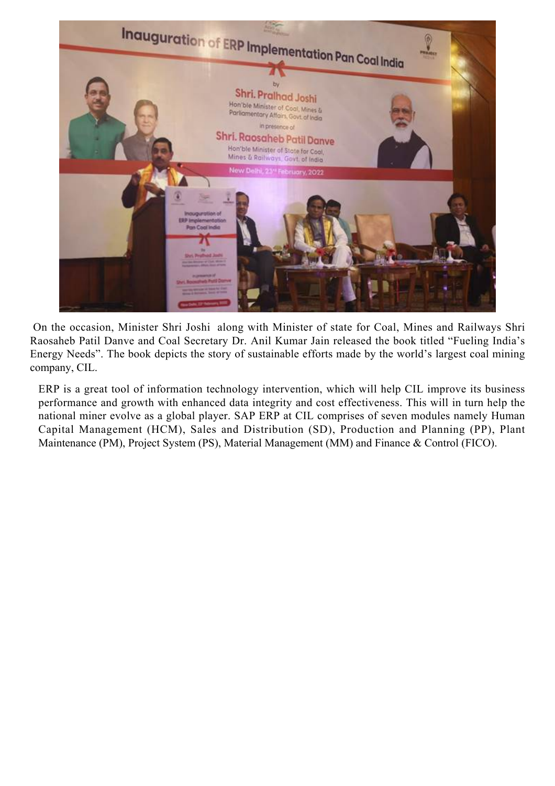

 On the occasion, Minister Shri Joshi along with Minister of state for Coal, Mines and Railways Shri Raosaheb Patil Danve and Coal Secretary Dr. Anil Kumar Jain released the book titled "Fueling India's Energy Needs". The book depicts the story of sustainable efforts made by the world's largest coal mining company, CIL.

ERP is a great tool of information technology intervention, which will help CIL improve its business performance and growth with enhanced data integrity and cost effectiveness. This will in turn help the national miner evolve as a global player. SAP ERP at CIL comprises of seven modules namely Human Capital Management (HCM), Sales and Distribution (SD), Production and Planning (PP), Plant Maintenance (PM), Project System (PS), Material Management (MM) and Finance & Control (FICO).